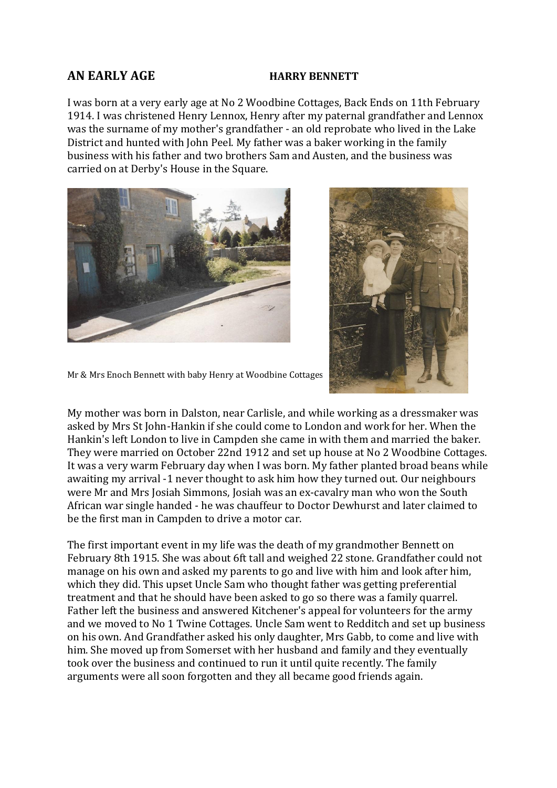## **AN EARLY AGE HARRY BENNETT**

I was born at a very early age at No 2 Woodbine Cottages, Back Ends on 11th February 1914. I was christened Henry Lennox, Henry after my paternal grandfather and Lennox was the surname of my mother's grandfather - an old reprobate who lived in the Lake District and hunted with John Peel. My father was a baker working in the family business with his father and two brothers Sam and Austen, and the business was carried on at Derby's House in the Square.





Mr & Mrs Enoch Bennett with baby Henry at Woodbine Cottages

My mother was born in Dalston, near Carlisle, and while working as a dressmaker was asked by Mrs St John-Hankin if she could come to London and work for her. When the Hankin's left London to live in Campden she came in with them and married the baker. They were married on October 22nd 1912 and set up house at No 2 Woodbine Cottages. It was a very warm February day when I was born. My father planted broad beans while awaiting my arrival -1 never thought to ask him how they turned out. Our neighbours were Mr and Mrs Josiah Simmons, Josiah was an ex-cavalry man who won the South African war single handed - he was chauffeur to Doctor Dewhurst and later claimed to be the first man in Campden to drive a motor car.

The first important event in my life was the death of my grandmother Bennett on February 8th 1915. She was about 6ft tall and weighed 22 stone. Grandfather could not manage on his own and asked my parents to go and live with him and look after him, which they did. This upset Uncle Sam who thought father was getting preferential treatment and that he should have been asked to go so there was a family quarrel. Father left the business and answered Kitchener's appeal for volunteers for the army and we moved to No 1 Twine Cottages. Uncle Sam went to Redditch and set up business on his own. And Grandfather asked his only daughter, Mrs Gabb, to come and live with him. She moved up from Somerset with her husband and family and they eventually took over the business and continued to run it until quite recently. The family arguments were all soon forgotten and they all became good friends again.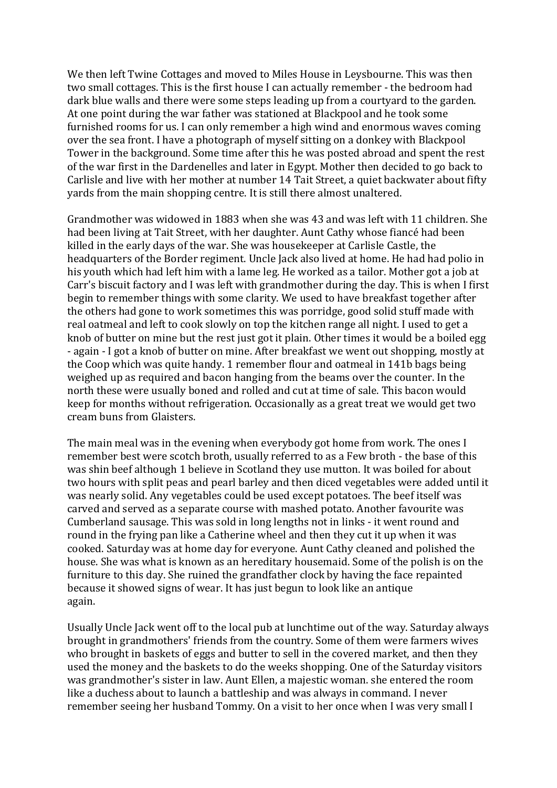We then left Twine Cottages and moved to Miles House in Leysbourne. This was then two small cottages. This is the first house I can actually remember - the bedroom had dark blue walls and there were some steps leading up from a courtyard to the garden. At one point during the war father was stationed at Blackpool and he took some furnished rooms for us. I can only remember a high wind and enormous waves coming over the sea front. I have a photograph of myself sitting on a donkey with Blackpool Tower in the background. Some time after this he was posted abroad and spent the rest of the war first in the Dardenelles and later in Egypt. Mother then decided to go back to Carlisle and live with her mother at number 14 Tait Street, a quiet backwater about fifty yards from the main shopping centre. It is still there almost unaltered.

Grandmother was widowed in 1883 when she was 43 and was left with 11 children. She had been living at Tait Street, with her daughter. Aunt Cathy whose fiancé had been killed in the early days of the war. She was housekeeper at Carlisle Castle, the headquarters of the Border regiment. Uncle Jack also lived at home. He had had polio in his youth which had left him with a lame leg. He worked as a tailor. Mother got a job at Carr's biscuit factory and I was left with grandmother during the day. This is when I first begin to remember things with some clarity. We used to have breakfast together after the others had gone to work sometimes this was porridge, good solid stuff made with real oatmeal and left to cook slowly on top the kitchen range all night. I used to get a knob of butter on mine but the rest just got it plain. Other times it would be a boiled egg - again - I got a knob of butter on mine. After breakfast we went out shopping, mostly at the Coop which was quite handy. 1 remember flour and oatmeal in 141b bags being weighed up as required and bacon hanging from the beams over the counter. In the north these were usually boned and rolled and cut at time of sale. This bacon would keep for months without refrigeration. Occasionally as a great treat we would get two cream buns from Glaisters.

The main meal was in the evening when everybody got home from work. The ones I remember best were scotch broth, usually referred to as a Few broth - the base of this was shin beef although 1 believe in Scotland they use mutton. It was boiled for about two hours with split peas and pearl barley and then diced vegetables were added until it was nearly solid. Any vegetables could be used except potatoes. The beef itself was carved and served as a separate course with mashed potato. Another favourite was Cumberland sausage. This was sold in long lengths not in links - it went round and round in the frying pan like a Catherine wheel and then they cut it up when it was cooked. Saturday was at home day for everyone. Aunt Cathy cleaned and polished the house. She was what is known as an hereditary housemaid. Some of the polish is on the furniture to this day. She ruined the grandfather clock by having the face repainted because it showed signs of wear. It has just begun to look like an antique again.

Usually Uncle Jack went off to the local pub at lunchtime out of the way. Saturday always brought in grandmothers' friends from the country. Some of them were farmers wives who brought in baskets of eggs and butter to sell in the covered market, and then they used the money and the baskets to do the weeks shopping. One of the Saturday visitors was grandmother's sister in law. Aunt Ellen, a majestic woman. she entered the room like a duchess about to launch a battleship and was always in command. I never remember seeing her husband Tommy. On a visit to her once when I was very small I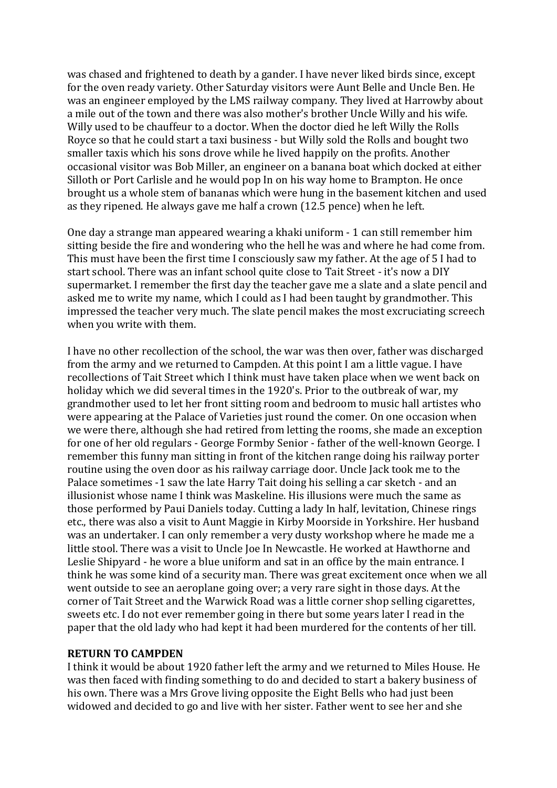was chased and frightened to death by a gander. I have never liked birds since, except for the oven ready variety. Other Saturday visitors were Aunt Belle and Uncle Ben. He was an engineer employed by the LMS railway company. They lived at Harrowby about a mile out of the town and there was also mother's brother Uncle Willy and his wife. Willy used to be chauffeur to a doctor. When the doctor died he left Willy the Rolls Royce so that he could start a taxi business - but Willy sold the Rolls and bought two smaller taxis which his sons drove while he lived happily on the profits. Another occasional visitor was Bob Miller, an engineer on a banana boat which docked at either Silloth or Port Carlisle and he would pop In on his way home to Brampton. He once brought us a whole stem of bananas which were hung in the basement kitchen and used as they ripened. He always gave me half a crown (12.5 pence) when he left.

One day a strange man appeared wearing a khaki uniform - 1 can still remember him sitting beside the fire and wondering who the hell he was and where he had come from. This must have been the first time I consciously saw my father. At the age of 5 I had to start school. There was an infant school quite close to Tait Street - it's now a DIY supermarket. I remember the first day the teacher gave me a slate and a slate pencil and asked me to write my name, which I could as I had been taught by grandmother. This impressed the teacher very much. The slate pencil makes the most excruciating screech when you write with them.

I have no other recollection of the school, the war was then over, father was discharged from the army and we returned to Campden. At this point I am a little vague. I have recollections of Tait Street which I think must have taken place when we went back on holiday which we did several times in the 1920's. Prior to the outbreak of war, my grandmother used to let her front sitting room and bedroom to music hall artistes who were appearing at the Palace of Varieties just round the comer. On one occasion when we were there, although she had retired from letting the rooms, she made an exception for one of her old regulars - George Formby Senior - father of the well-known George. I remember this funny man sitting in front of the kitchen range doing his railway porter routine using the oven door as his railway carriage door. Uncle Jack took me to the Palace sometimes -1 saw the late Harry Tait doing his selling a car sketch - and an illusionist whose name I think was Maskeline. His illusions were much the same as those performed by Paui Daniels today. Cutting a lady In half, levitation, Chinese rings etc., there was also a visit to Aunt Maggie in Kirby Moorside in Yorkshire. Her husband was an undertaker. I can only remember a very dusty workshop where he made me a little stool. There was a visit to Uncle Joe In Newcastle. He worked at Hawthorne and Leslie Shipyard - he wore a blue uniform and sat in an office by the main entrance. I think he was some kind of a security man. There was great excitement once when we all went outside to see an aeroplane going over; a very rare sight in those days. At the corner of Tait Street and the Warwick Road was a little corner shop selling cigarettes, sweets etc. I do not ever remember going in there but some years later I read in the paper that the old lady who had kept it had been murdered for the contents of her till.

## **RETURN TO CAMPDEN**

I think it would be about 1920 father left the army and we returned to Miles House. He was then faced with finding something to do and decided to start a bakery business of his own. There was a Mrs Grove living opposite the Eight Bells who had just been widowed and decided to go and live with her sister. Father went to see her and she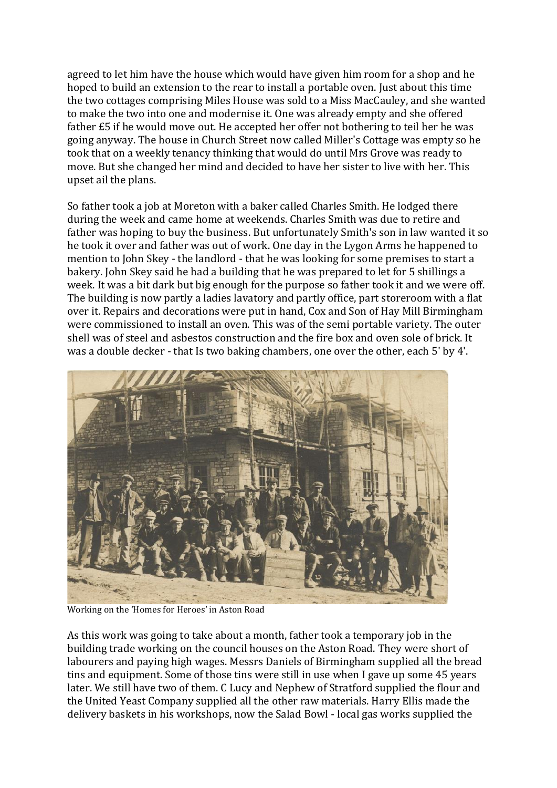agreed to let him have the house which would have given him room for a shop and he hoped to build an extension to the rear to install a portable oven. Just about this time the two cottages comprising Miles House was sold to a Miss MacCauley, and she wanted to make the two into one and modernise it. One was already empty and she offered father £5 if he would move out. He accepted her offer not bothering to teil her he was going anyway. The house in Church Street now called Miller's Cottage was empty so he took that on a weekly tenancy thinking that would do until Mrs Grove was ready to move. But she changed her mind and decided to have her sister to live with her. This upset ail the plans.

So father took a job at Moreton with a baker called Charles Smith. He lodged there during the week and came home at weekends. Charles Smith was due to retire and father was hoping to buy the business. But unfortunately Smith's son in law wanted it so he took it over and father was out of work. One day in the Lygon Arms he happened to mention to John Skey - the landlord - that he was looking for some premises to start a bakery. John Skey said he had a building that he was prepared to let for 5 shillings a week. It was a bit dark but big enough for the purpose so father took it and we were off. The building is now partly a ladies lavatory and partly office, part storeroom with a flat over it. Repairs and decorations were put in hand, Cox and Son of Hay Mill Birmingham were commissioned to install an oven. This was of the semi portable variety. The outer shell was of steel and asbestos construction and the fire box and oven sole of brick. It was a double decker - that Is two baking chambers, one over the other, each 5' by 4'.



Working on the 'Homes for Heroes' in Aston Road

As this work was going to take about a month, father took a temporary job in the building trade working on the council houses on the Aston Road. They were short of labourers and paying high wages. Messrs Daniels of Birmingham supplied all the bread tins and equipment. Some of those tins were still in use when I gave up some 45 years later. We still have two of them. C Lucy and Nephew of Stratford supplied the flour and the United Yeast Company supplied all the other raw materials. Harry Ellis made the delivery baskets in his workshops, now the Salad Bowl - local gas works supplied the